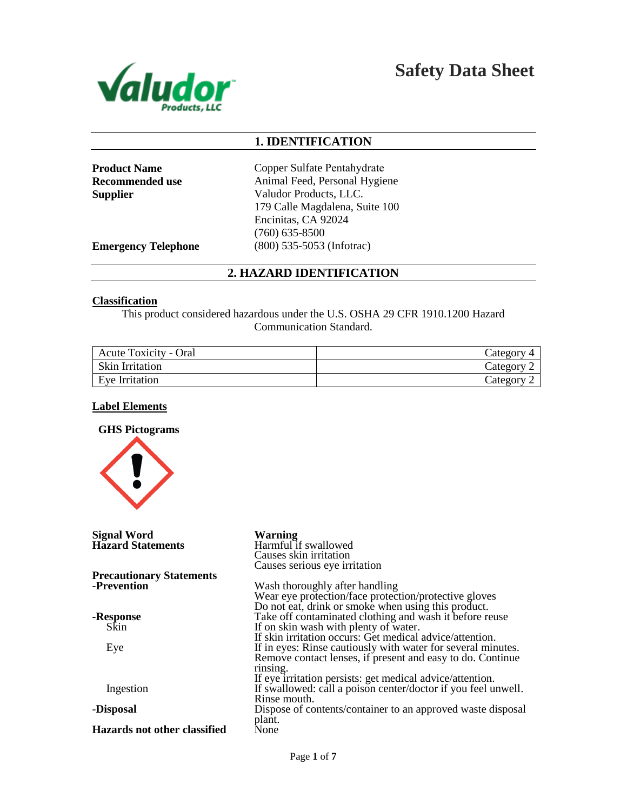

**Safety Data Sheet**

## **1. IDENTIFICATION**

**Product Name Recommended use Supplier**

Copper Sulfate Pentahydrate Animal Feed, Personal Hygiene Valudor Products, LLC. 179 Calle Magdalena, Suite 100 Encinitas, CA 92024 (760) 635-8500 (800) 535-5053 (Infotrac)

**Emergency Telephone**

## **2. HAZARD IDENTIFICATION**

#### **Classification**

This product considered hazardous under the U.S. OSHA 29 CFR 1910.1200 Hazard Communication Standard.

| <b>Acute Toxicity - Oral</b> | Category |
|------------------------------|----------|
| <b>Skin Irritation</b>       | Category |
| Eve Irritation               | Category |

#### **Label Elements**

**GHS Pictograms** 



| <b>Signal Word</b><br><b>Hazard Statements</b> | <b>Warning</b><br>Harmful if swallowed<br>Causes skin irritation                                                                               |
|------------------------------------------------|------------------------------------------------------------------------------------------------------------------------------------------------|
| <b>Precautionary Statements</b>                | Causes serious eye irritation                                                                                                                  |
| -Prevention                                    | Wash thoroughly after handling<br>Wear eye protection/face protection/protective gloves<br>Do not eat, drink or smoke when using this product. |
| -Response                                      | Take off contaminated clothing and wash it before reuse                                                                                        |
| Skin                                           | If on skin wash with plenty of water.<br>If skin irritation occurs: Get medical advice/attention.                                              |
| Eye                                            | If in eyes: Rinse cautiously with water for several minutes.<br>Remove contact lenses, if present and easy to do. Continue<br>rinsing.         |
| Ingestion                                      | If eye irritation persists: get medical advice/attention.<br>If swallowed: call a poison center/doctor if you feel unwell.<br>Rinse mouth.     |
| -Disposal                                      | Dispose of contents/container to an approved waste disposal<br>plant.                                                                          |
| Hazards not other classified                   | None                                                                                                                                           |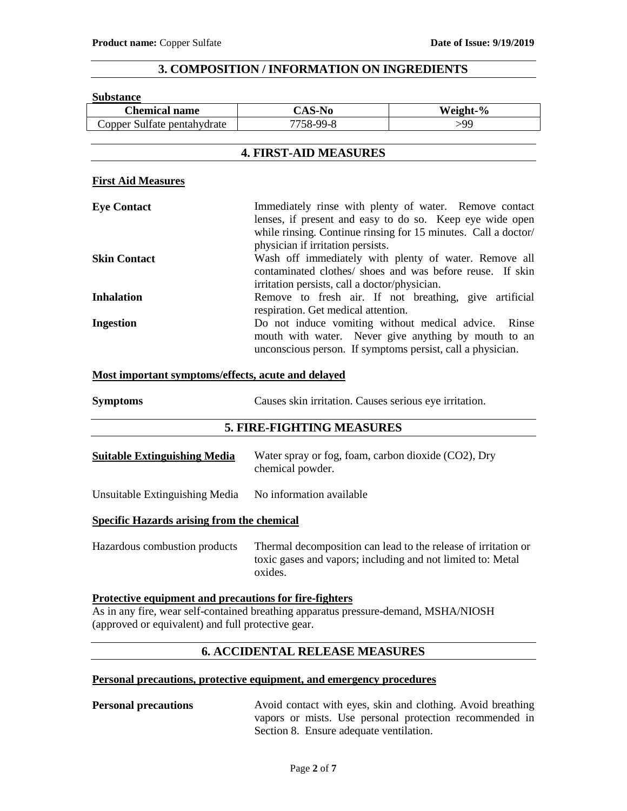## **3. COMPOSITION / INFORMATION ON INGREDIENTS**

#### **Substance**

| <b>Chemical name</b>                               | <b>CAS-No</b>                                                                                                                                                                                                                                                                                                                                                                                                                                      | Weight-%                                                                                                                                                                             |
|----------------------------------------------------|----------------------------------------------------------------------------------------------------------------------------------------------------------------------------------------------------------------------------------------------------------------------------------------------------------------------------------------------------------------------------------------------------------------------------------------------------|--------------------------------------------------------------------------------------------------------------------------------------------------------------------------------------|
| Copper Sulfate pentahydrate                        | 7758-99-8                                                                                                                                                                                                                                                                                                                                                                                                                                          | >99                                                                                                                                                                                  |
|                                                    | <b>4. FIRST-AID MEASURES</b>                                                                                                                                                                                                                                                                                                                                                                                                                       |                                                                                                                                                                                      |
| <b>First Aid Measures</b>                          |                                                                                                                                                                                                                                                                                                                                                                                                                                                    |                                                                                                                                                                                      |
| <b>Eye Contact</b>                                 | physician if irritation persists.                                                                                                                                                                                                                                                                                                                                                                                                                  | Immediately rinse with plenty of water. Remove contact<br>lenses, if present and easy to do so. Keep eye wide open<br>while rinsing. Continue rinsing for 15 minutes. Call a doctor/ |
| <b>Skin Contact</b>                                | Wash off immediately with plenty of water. Remove all<br>contaminated clothes/ shoes and was before reuse. If skin<br>irritation persists, call a doctor/physician.<br>Remove to fresh air. If not breathing, give artificial<br>respiration. Get medical attention.<br>Do not induce vomiting without medical advice. Rinse<br>mouth with water. Never give anything by mouth to an<br>unconscious person. If symptoms persist, call a physician. |                                                                                                                                                                                      |
| <b>Inhalation</b>                                  |                                                                                                                                                                                                                                                                                                                                                                                                                                                    |                                                                                                                                                                                      |
| <b>Ingestion</b>                                   |                                                                                                                                                                                                                                                                                                                                                                                                                                                    |                                                                                                                                                                                      |
| Most important symptoms/effects, acute and delayed |                                                                                                                                                                                                                                                                                                                                                                                                                                                    |                                                                                                                                                                                      |
| <b>Symptoms</b>                                    | Causes skin irritation. Causes serious eye irritation.                                                                                                                                                                                                                                                                                                                                                                                             |                                                                                                                                                                                      |
|                                                    | <b>5. FIRE-FIGHTING MEASURES</b>                                                                                                                                                                                                                                                                                                                                                                                                                   |                                                                                                                                                                                      |

| <b>Suitable Extinguishing Media</b> | Water spray or fog, foam, carbon dioxide (CO2), Dry |
|-------------------------------------|-----------------------------------------------------|
|                                     | chemical powder.                                    |

Unsuitable Extinguishing Media No information available

#### **Specific Hazards arising from the chemical**

Hazardous combustion products Thermal decomposition can lead to the release of irritation or toxic gases and vapors; including and not limited to: Metal oxides.

**Protective equipment and precautions for fire-fighters** As in any fire, wear self-contained breathing apparatus pressure-demand, MSHA/NIOSH (approved or equivalent) and full protective gear.

## **6. ACCIDENTAL RELEASE MEASURES**

#### **Personal precautions, protective equipment, and emergency procedures**

**Personal precautions** Avoid contact with eyes, skin and clothing. Avoid breathing vapors or mists. Use personal protection recommended in Section 8. Ensure adequate ventilation.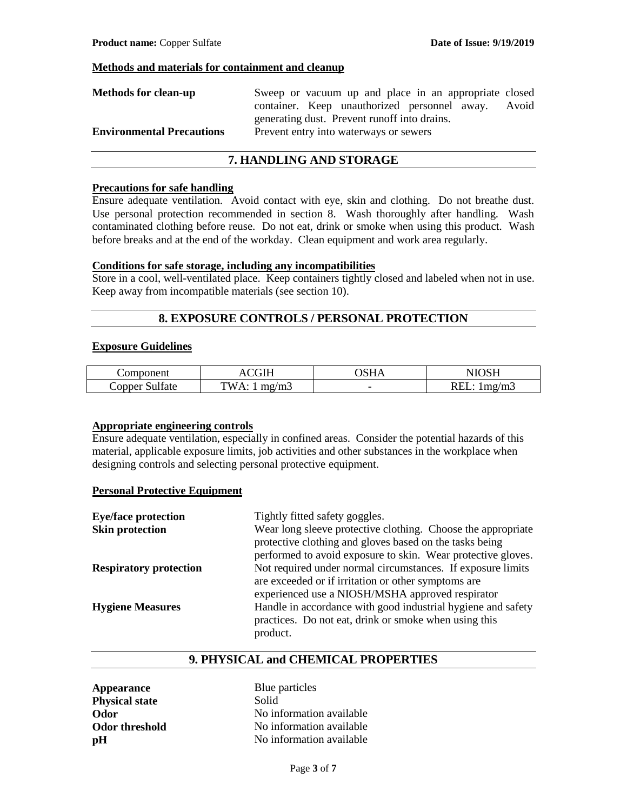#### **Methods and materials for containment and cleanup**

| <b>Methods for clean-up</b>      | Sweep or vacuum up and place in an appropriate closed |  |
|----------------------------------|-------------------------------------------------------|--|
|                                  | container. Keep unauthorized personnel away. Avoid    |  |
|                                  | generating dust. Prevent runoff into drains.          |  |
| <b>Environmental Precautions</b> | Prevent entry into waterways or sewers                |  |

### **7. HANDLING AND STORAGE**

#### **Precautions for safe handling**

Ensure adequate ventilation. Avoid contact with eye, skin and clothing. Do not breathe dust. Use personal protection recommended in section 8. Wash thoroughly after handling. Wash contaminated clothing before reuse. Do not eat, drink or smoke when using this product. Wash before breaks and at the end of the workday. Clean equipment and work area regularly.

### **Conditions for safe storage, including any incompatibilities**

Store in a cool, well-ventilated place. Keep containers tightly closed and labeled when not in use. Keep away from incompatible materials (see section 10).

## **8. EXPOSURE CONTROLS / PERSONAL PROTECTION**

#### **Exposure Guidelines**

| $-$<br>noneni<br>n.              | $\sim$ $\sim$ $\sim$  |                          | .<br>. .            |
|----------------------------------|-----------------------|--------------------------|---------------------|
| $\sim$<br>ulfate<br>$\cup$ opper | `\\/<br>'m<br>л<br>ю. | $\overline{\phantom{0}}$ | mg/m3<br>. .<br>ww. |

#### **Appropriate engineering controls**

Ensure adequate ventilation, especially in confined areas. Consider the potential hazards of this material, applicable exposure limits, job activities and other substances in the workplace when designing controls and selecting personal protective equipment.

#### **Personal Protective Equipment**

| <b>Eye/face protection</b>    | Tightly fitted safety goggles.                                                                                                    |
|-------------------------------|-----------------------------------------------------------------------------------------------------------------------------------|
| <b>Skin protection</b>        | Wear long sleeve protective clothing. Choose the appropriate<br>protective clothing and gloves based on the tasks being           |
|                               | performed to avoid exposure to skin. Wear protective gloves.                                                                      |
| <b>Respiratory protection</b> | Not required under normal circumstances. If exposure limits                                                                       |
|                               | are exceeded or if irritation or other symptoms are<br>experienced use a NIOSH/MSHA approved respirator                           |
| <b>Hygiene Measures</b>       | Handle in accordance with good industrial hygiene and safety<br>practices. Do not eat, drink or smoke when using this<br>product. |

## **9. PHYSICAL and CHEMICAL PROPERTIES**

| <b>Appearance</b>     | Blue  |
|-----------------------|-------|
| <b>Physical state</b> | Solid |
| Odor                  | No in |
| <b>Odor threshold</b> | No in |
| pН                    | No in |

**Blue particles** No information available No information available No information available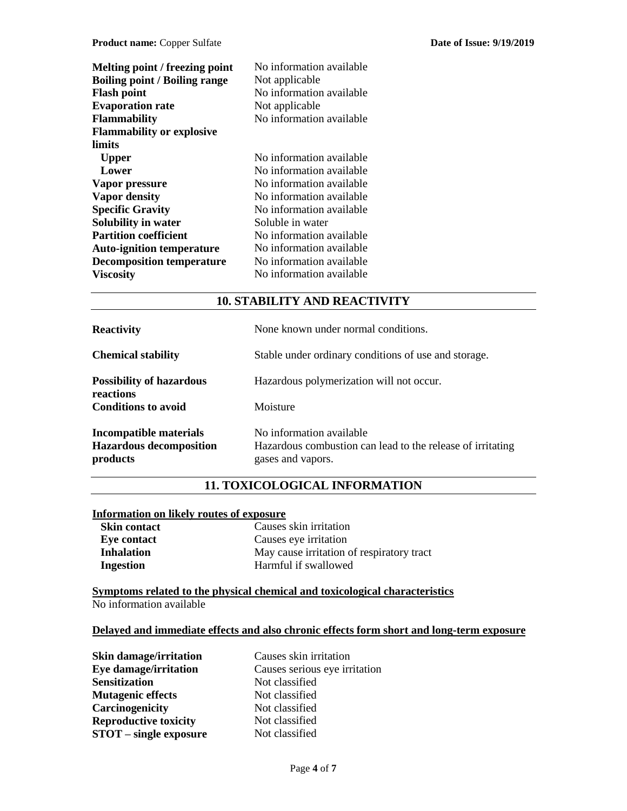| Melting point / freezing point<br><b>Boiling point / Boiling range</b><br><b>Flash point</b><br><b>Evaporation rate</b><br><b>Flammability</b> | No information available<br>Not applicable<br>No information available<br>Not applicable<br>No information available |
|------------------------------------------------------------------------------------------------------------------------------------------------|----------------------------------------------------------------------------------------------------------------------|
| <b>Flammability or explosive</b>                                                                                                               |                                                                                                                      |
| limits                                                                                                                                         |                                                                                                                      |
| <b>Upper</b>                                                                                                                                   | No information available                                                                                             |
| Lower                                                                                                                                          | No information available                                                                                             |
| Vapor pressure                                                                                                                                 | No information available                                                                                             |
| <b>Vapor density</b>                                                                                                                           | No information available                                                                                             |
| <b>Specific Gravity</b>                                                                                                                        | No information available                                                                                             |
| Solubility in water                                                                                                                            | Soluble in water                                                                                                     |
| <b>Partition coefficient</b>                                                                                                                   | No information available                                                                                             |
| <b>Auto-ignition temperature</b>                                                                                                               | No information available                                                                                             |
| <b>Decomposition temperature</b>                                                                                                               | No information available                                                                                             |
| <b>Viscosity</b>                                                                                                                               | No information available                                                                                             |

## **10. STABILITY AND REACTIVITY**

| <b>Reactivity</b>                                                    | None known under normal conditions.                                                                         |
|----------------------------------------------------------------------|-------------------------------------------------------------------------------------------------------------|
| <b>Chemical stability</b>                                            | Stable under ordinary conditions of use and storage.                                                        |
| <b>Possibility of hazardous</b><br>reactions                         | Hazardous polymerization will not occur.                                                                    |
| <b>Conditions to avoid</b>                                           | Moisture                                                                                                    |
| Incompatible materials<br><b>Hazardous decomposition</b><br>products | No information available<br>Hazardous combustion can lead to the release of irritating<br>gases and vapors. |

## **11. TOXICOLOGICAL INFORMATION**

## **Information on likely routes of exposure**

| <b>Skin contact</b> | Causes skin irritation                    |
|---------------------|-------------------------------------------|
| Eye contact         | Causes eye irritation                     |
| <b>Inhalation</b>   | May cause irritation of respiratory tract |
| Ingestion           | Harmful if swallowed                      |

**Symptoms related to the physical chemical and toxicological characteristics** No information available

#### **Delayed and immediate effects and also chronic effects form short and long-term exposure**

| <b>Skin damage/irritation</b> | Causes skin irritation        |
|-------------------------------|-------------------------------|
| Eye damage/irritation         | Causes serious eye irritation |
| <b>Sensitization</b>          | Not classified                |
| <b>Mutagenic effects</b>      | Not classified                |
| Carcinogenicity               | Not classified                |
| <b>Reproductive toxicity</b>  | Not classified                |
| <b>STOT</b> – single exposure | Not classified                |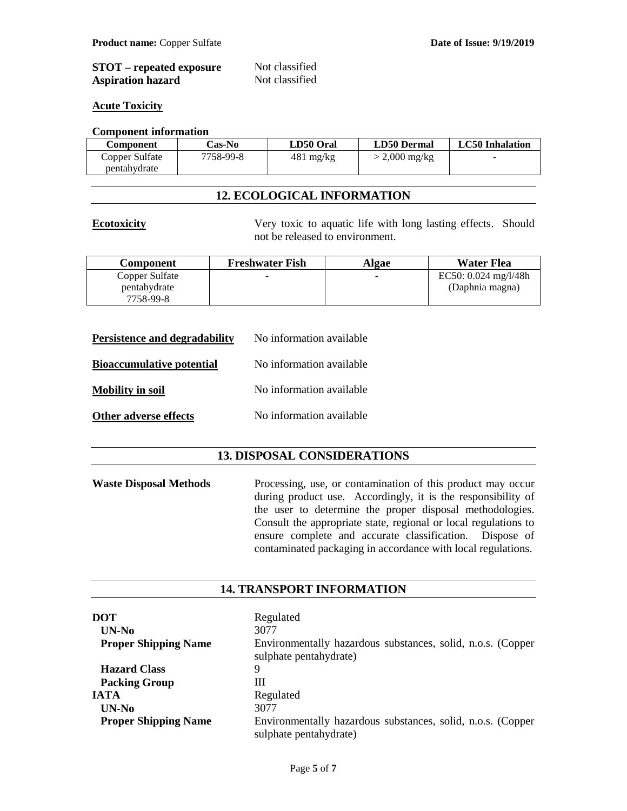| <b>STOT</b> – repeated exposure | Not classified |
|---------------------------------|----------------|
| <b>Aspiration hazard</b>        | Not classified |

#### **Acute Toxicity**

#### **Component information**

| Component      | <b>Cas-No</b> | LD50 Oral           | <b>LD50 Dermal</b> | <b>LC50</b> Inhalation |
|----------------|---------------|---------------------|--------------------|------------------------|
| Copper Sulfate | 7758-99-8     | $481 \text{ mg/kg}$ | $>$ 2,000 mg/kg    | -                      |
| pentahydrate   |               |                     |                    |                        |

## **12. ECOLOGICAL INFORMATION**

**Ecotoxicity** Very toxic to aquatic life with long lasting effects. Should not be released to environment.

| <b>Component</b> | <b>Freshwater Fish</b> | Algae | Water Flea             |
|------------------|------------------------|-------|------------------------|
| Copper Sulfate   |                        | -     | EC50: $0.024$ mg/l/48h |
| pentahydrate     |                        |       | (Daphnia magna)        |
| 7758-99-8        |                        |       |                        |

| <b>Persistence and degradability</b> | No information available |
|--------------------------------------|--------------------------|
| <b>Bioaccumulative potential</b>     | No information available |
| <b>Mobility in soil</b>              | No information available |
| Other adverse effects                | No information available |

## **13. DISPOSAL CONSIDERATIONS**

Waste Disposal Methods Processing, use, or contamination of this product may occur during product use. Accordingly, it is the responsibility of the user to determine the proper disposal methodologies. Consult the appropriate state, regional or local regulations to ensure complete and accurate classification. Dispose of contaminated packaging in accordance with local regulations.

#### **14. TRANSPORT INFORMATION**

| DOT<br>UN-No                | Regulated<br>3077                                                                     |
|-----------------------------|---------------------------------------------------------------------------------------|
| <b>Proper Shipping Name</b> | Environmentally hazardous substances, solid, n.o.s. (Copper<br>sulphate pentahydrate) |
| <b>Hazard Class</b>         | 9                                                                                     |
| <b>Packing Group</b>        | Ш                                                                                     |
| <b>IATA</b>                 | Regulated                                                                             |
| $UN-No$                     | 3077                                                                                  |
| <b>Proper Shipping Name</b> | Environmentally hazardous substances, solid, n.o.s. (Copper<br>sulphate pentahydrate) |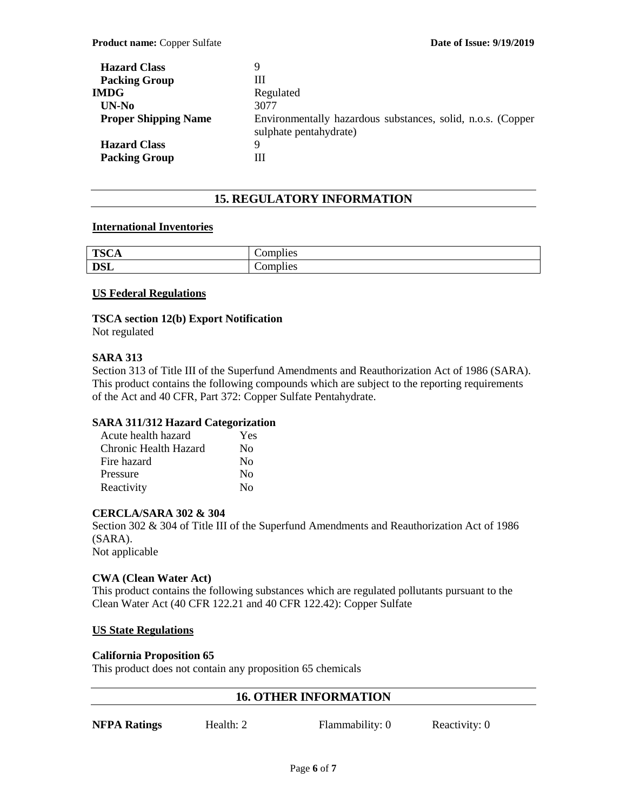| <b>Hazard Class</b>         | 9                                                                                     |
|-----------------------------|---------------------------------------------------------------------------------------|
| <b>Packing Group</b>        | Ш                                                                                     |
| <b>IMDG</b>                 | Regulated                                                                             |
| $UN-N0$                     | 3077                                                                                  |
| <b>Proper Shipping Name</b> | Environmentally hazardous substances, solid, n.o.s. (Copper<br>sulphate pentahydrate) |
| <b>Hazard Class</b>         | Q                                                                                     |
| <b>Packing Group</b>        | Ш                                                                                     |

## **15. REGULATORY INFORMATION**

#### **International Inventories**

| <b>TSCA</b> | $\cdot$ $\cdot$<br>-<br>$\sim$ section<br>dies<br>$\sim$ ullu $\sim$ |
|-------------|----------------------------------------------------------------------|
| <b>DSL</b>  | $\ddotsc$<br>Complies                                                |

#### **US Federal Regulations**

# **TSCA section 12(b) Export Notification**

Not regulated

#### **SARA 313**

Section 313 of Title III of the Superfund Amendments and Reauthorization Act of 1986 (SARA). This product contains the following compounds which are subject to the reporting requirements of the Act and 40 CFR, Part 372: Copper Sulfate Pentahydrate.

#### **SARA 311/312 Hazard Categorization**

| Acute health hazard   | Yes      |
|-----------------------|----------|
| Chronic Health Hazard | $\rm No$ |
| Fire hazard           | Nο       |
| Pressure              | $\rm No$ |
| Reactivity            | $\rm No$ |

#### **CERCLA/SARA 302 & 304**

Section 302 & 304 of Title III of the Superfund Amendments and Reauthorization Act of 1986 (SARA). Not applicable

#### **CWA (Clean Water Act)**

This product contains the following substances which are regulated pollutants pursuant to the Clean Water Act (40 CFR 122.21 and 40 CFR 122.42): Copper Sulfate

#### **US State Regulations**

#### **California Proposition 65**

This product does not contain any proposition 65 chemicals

#### **16. OTHER INFORMATION**

**NFPA Ratings** Health: 2 Flammability: 0 Reactivity: 0